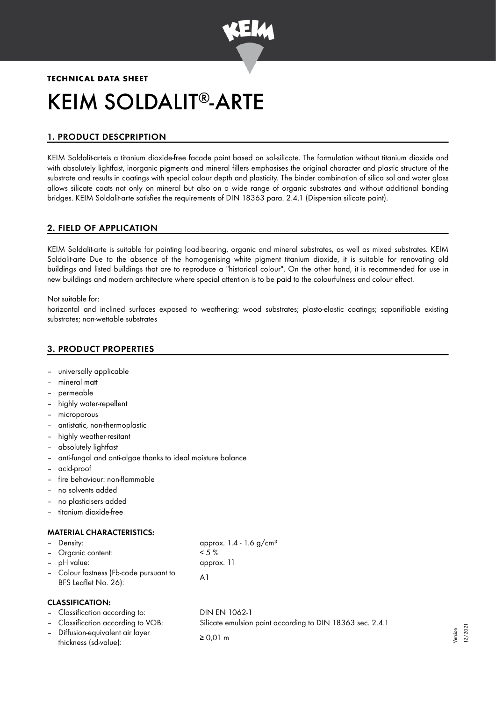

# **TECHNICAL DATA SHEET** KEIM SOLDALIT®-ARTE

# 1. PRODUCT DESCPRIPTION

KEIM Soldalit-arteis a titanium dioxide-free facade paint based on sol-silicate. The formulation without titanium dioxide and with absolutely lightfast, inorganic pigments and mineral fillers emphasises the original character and plastic structure of the substrate and results in coatings with special colour depth and plasticity. The binder combination of silica sol and water glass allows silicate coats not only on mineral but also on a wide range of organic substrates and without additional bonding bridges. KEIM Soldalit-arte satisfies the requirements of DIN 18363 para. 2.4.1 (Dispersion silicate paint).

## 2. FIELD OF APPLICATION

KEIM Soldalit-arte is suitable for painting load-bearing, organic and mineral substrates, as well as mixed substrates. KEIM Soldalit-arte Due to the absence of the homogenising white pigment titanium dioxide, it is suitable for renovating old buildings and listed buildings that are to reproduce a "historical colour". On the other hand, it is recommended for use in new buildings and modern architecture where special attention is to be paid to the colourfulness and colour effect.

Not suitable for:

horizontal and inclined surfaces exposed to weathering; wood substrates; plasto-elastic coatings; saponifiable existing substrates; non-wettable substrates

## 3. PRODUCT PROPERTIES

- universally applicable
- mineral matt
- permeable
- highly water-repellent
- microporous
- antistatic, non-thermoplastic
- highly weather-resitant
- absolutely lightfast
- anti-fungal and anti-algae thanks to ideal moisture balance
- acid-proof
- fire behaviour: non-flammable
- no solvents added
- no plasticisers added
- titanium dioxide-free

## MATERIAL CHARACTERISTICS:

| - Density:                                                     | approx. $1.4 - 1.6$ g/cm <sup>3</sup> |
|----------------------------------------------------------------|---------------------------------------|
| - Organic content:                                             | $< 5 \%$                              |
| - pH value:                                                    | approx. 11                            |
| - Colour fastness (Fb-code pursuant to<br>BFS Leaflet No. 26): | Αl                                    |

#### CLASSIFICATION:

| - Classification according to:     |  | DIN EN 1062-1                                             |  |
|------------------------------------|--|-----------------------------------------------------------|--|
| - Classification according to VOB: |  | Silicate emulsion paint according to DIN 18363 sec. 2.4.1 |  |
| - Diffusion-equivalent air layer   |  | $\geq 0.01$ m                                             |  |
| thickness (sd-value):              |  |                                                           |  |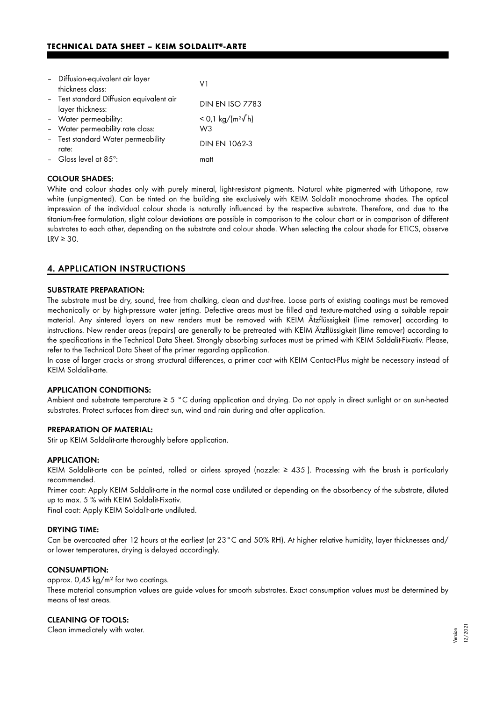## **TECHNICAL DATA SHEET - KEIM SOLDALIT®-ARTE**

| - Diffusion-equivalent air layer<br>thickness class:         | V1                             |
|--------------------------------------------------------------|--------------------------------|
| - Test standard Diffusion equivalent air<br>layer thickness: | <b>DIN EN ISO 7783</b>         |
| - Water permeability:                                        | $<$ 0,1 kg/(m <sup>2</sup> √h) |
| - Water permeability rate class:                             | W3                             |
| - Test standard Water permeability<br>rate:                  | DIN EN 1062-3                  |
| - Gloss level at $85^\circ$ :                                | matt                           |

#### COLOUR SHADES:

White and colour shades only with purely mineral, light-resistant pigments. Natural white pigmented with Lithopone, raw white (unpigmented). Can be tinted on the building site exclusively with KEIM Soldalit monochrome shades. The optical impression of the individual colour shade is naturally influenced by the respective substrate. Therefore, and due to the titanium-free formulation, slight colour deviations are possible in comparison to the colour chart or in comparison of different substrates to each other, depending on the substrate and colour shade. When selecting the colour shade for ETICS, observe  $LRV \geq 30$ .

## 4. APPLICATION INSTRUCTIONS

#### SUBSTRATE PREPARATION:

The substrate must be dry, sound, free from chalking, clean and dust-free. Loose parts of existing coatings must be removed mechanically or by high-pressure water jetting. Defective areas must be filled and texture-matched using a suitable repair material. Any sintered layers on new renders must be removed with KEIM Ätzflüssigkeit (lime remover) according to instructions. New render areas (repairs) are generally to be pretreated with KEIM Ätzflüssigkeit (lime remover) according to the specifications in the Technical Data Sheet. Strongly absorbing surfaces must be primed with KEIM Soldalit-Fixativ. Please, refer to the Technical Data Sheet of the primer regarding application.

In case of larger cracks or strong structural differences, a primer coat with KEIM Contact-Plus might be necessary instead of KEIM Soldalit-arte.

#### APPLICATION CONDITIONS:

Ambient and substrate temperature ≥ 5 °C during application and drying. Do not apply in direct sunlight or on sun-heated substrates. Protect surfaces from direct sun, wind and rain during and after application.

#### PREPARATION OF MATERIAL:

Stir up KEIM Soldalit-arte thoroughly before application.

#### APPLICATION:

KEIM Soldalit-arte can be painted, rolled or airless sprayed (nozzle: ≥ 435 ). Processing with the brush is particularly recommended.

Primer coat: Apply KEIM Soldalit-arte in the normal case undiluted or depending on the absorbency of the substrate, diluted up to max. 5 % with KEIM Soldalit-Fixativ.

Final coat: Apply KEIM Soldalit-arte undiluted.

#### DRYING TIME:

Can be overcoated after 12 hours at the earliest (at 23°C and 50% RH). At higher relative humidity, layer thicknesses and/ or lower temperatures, drying is delayed accordingly.

#### CONSUMPTION:

approx. 0,45 kg/m² for two coatings.

These material consumption values are guide values for smooth substrates. Exact consumption values must be determined by means of test areas.

#### CLEANING OF TOOLS:

Clean immediately with water.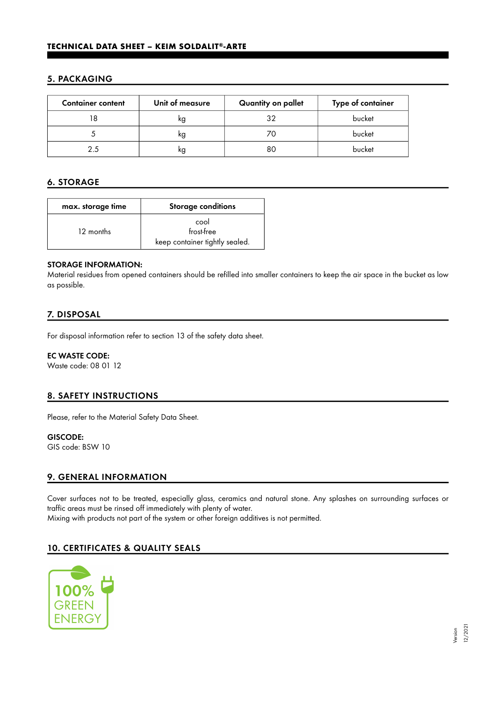## 5. PACKAGING

| <b>Container content</b> | Unit of measure | Quantity on pallet | Type of container |
|--------------------------|-----------------|--------------------|-------------------|
|                          | ĸg              | 32                 | bucket            |
|                          | kg              |                    | bucket            |
|                          | κg              | 80                 | bucket            |

## 6. STORAGE

| max. storage time | <b>Storage conditions</b>      |  |
|-------------------|--------------------------------|--|
|                   | cool                           |  |
| 12 months         | frost-free                     |  |
|                   | keep container tightly sealed. |  |

#### STORAGE INFORMATION:

Material residues from opened containers should be refilled into smaller containers to keep the air space in the bucket as low as possible.

## 7. DISPOSAL

For disposal information refer to section 13 of the safety data sheet.

#### EC WASTE CODE:

Waste code: 08 01 12

## 8. SAFETY INSTRUCTIONS

Please, refer to the Material Safety Data Sheet.

## GISCODE:

GIS code: BSW 10

## 9. GENERAL INFORMATION

Cover surfaces not to be treated, especially glass, ceramics and natural stone. Any splashes on surrounding surfaces or traffic areas must be rinsed off immediately with plenty of water. Mixing with products not part of the system or other foreign additives is not permitted.

# 10. CERTIFICATES & QUALITY SEALS